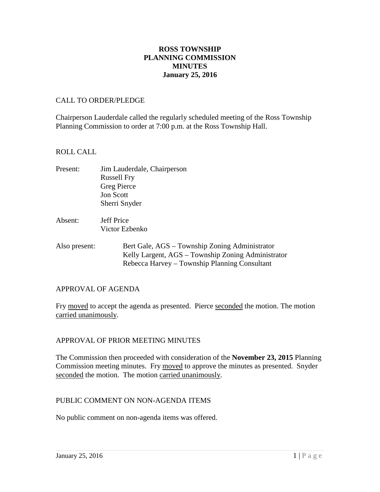## **ROSS TOWNSHIP PLANNING COMMISSION MINUTES January 25, 2016**

#### CALL TO ORDER/PLEDGE

Chairperson Lauderdale called the regularly scheduled meeting of the Ross Township Planning Commission to order at 7:00 p.m. at the Ross Township Hall.

### ROLL CALL

- Present: Jim Lauderdale, Chairperson Russell Fry Greg Pierce Jon Scott Sherri Snyder
- Absent: Jeff Price Victor Ezbenko
- Also present: Bert Gale, AGS Township Zoning Administrator Kelly Largent, AGS – Township Zoning Administrator Rebecca Harvey – Township Planning Consultant

## APPROVAL OF AGENDA

Fry moved to accept the agenda as presented. Pierce seconded the motion. The motion carried unanimously.

## APPROVAL OF PRIOR MEETING MINUTES

The Commission then proceeded with consideration of the **November 23, 2015** Planning Commission meeting minutes. Fry moved to approve the minutes as presented. Snyder seconded the motion. The motion carried unanimously.

## PUBLIC COMMENT ON NON-AGENDA ITEMS

No public comment on non-agenda items was offered.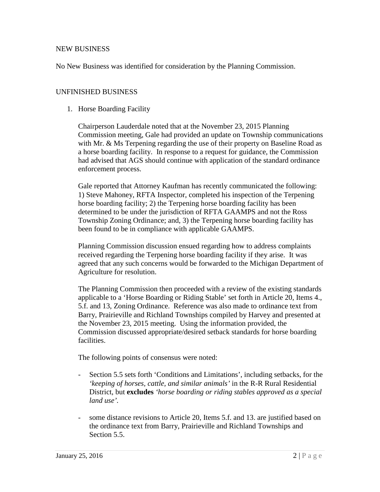#### NEW BUSINESS

No New Business was identified for consideration by the Planning Commission.

#### UNFINISHED BUSINESS

1. Horse Boarding Facility

Chairperson Lauderdale noted that at the November 23, 2015 Planning Commission meeting, Gale had provided an update on Township communications with Mr. & Ms Terpening regarding the use of their property on Baseline Road as a horse boarding facility. In response to a request for guidance, the Commission had advised that AGS should continue with application of the standard ordinance enforcement process.

Gale reported that Attorney Kaufman has recently communicated the following: 1) Steve Mahoney, RFTA Inspector, completed his inspection of the Terpening horse boarding facility; 2) the Terpening horse boarding facility has been determined to be under the jurisdiction of RFTA GAAMPS and not the Ross Township Zoning Ordinance; and, 3) the Terpening horse boarding facility has been found to be in compliance with applicable GAAMPS.

Planning Commission discussion ensued regarding how to address complaints received regarding the Terpening horse boarding facility if they arise. It was agreed that any such concerns would be forwarded to the Michigan Department of Agriculture for resolution.

The Planning Commission then proceeded with a review of the existing standards applicable to a 'Horse Boarding or Riding Stable' set forth in Article 20, Items 4., 5.f. and 13, Zoning Ordinance. Reference was also made to ordinance text from Barry, Prairieville and Richland Townships compiled by Harvey and presented at the November 23, 2015 meeting. Using the information provided, the Commission discussed appropriate/desired setback standards for horse boarding facilities.

The following points of consensus were noted:

- Section 5.5 sets forth 'Conditions and Limitations', including setbacks, for the *'keeping of horses, cattle, and similar animals'* in the R-R Rural Residential District, but **excludes** *'horse boarding or riding stables approved as a special land use'.*
- some distance revisions to Article 20, Items 5.f. and 13. are justified based on the ordinance text from Barry, Prairieville and Richland Townships and Section 5.5.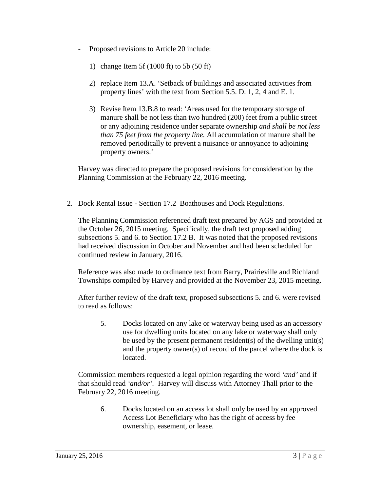- Proposed revisions to Article 20 include:
	- 1) change Item 5f (1000 ft) to 5b (50 ft)
	- 2) replace Item 13.A. 'Setback of buildings and associated activities from property lines' with the text from Section 5.5. D. 1, 2, 4 and E. 1.
	- 3) Revise Item 13.B.8 to read: 'Areas used for the temporary storage of manure shall be not less than two hundred (200) feet from a public street or any adjoining residence under separate ownership *and shall be not less than 75 feet from the property line.* All accumulation of manure shall be removed periodically to prevent a nuisance or annoyance to adjoining property owners.'

Harvey was directed to prepare the proposed revisions for consideration by the Planning Commission at the February 22, 2016 meeting.

2. Dock Rental Issue - Section 17.2 Boathouses and Dock Regulations.

The Planning Commission referenced draft text prepared by AGS and provided at the October 26, 2015 meeting. Specifically, the draft text proposed adding subsections 5. and 6. to Section 17.2 B. It was noted that the proposed revisions had received discussion in October and November and had been scheduled for continued review in January, 2016.

Reference was also made to ordinance text from Barry, Prairieville and Richland Townships compiled by Harvey and provided at the November 23, 2015 meeting.

After further review of the draft text, proposed subsections 5. and 6. were revised to read as follows:

5. Docks located on any lake or waterway being used as an accessory use for dwelling units located on any lake or waterway shall only be used by the present permanent resident(s) of the dwelling unit(s) and the property owner(s) of record of the parcel where the dock is located.

Commission members requested a legal opinion regarding the word *'and'* and if that should read *'and/or'.* Harvey will discuss with Attorney Thall prior to the February 22, 2016 meeting.

6. Docks located on an access lot shall only be used by an approved Access Lot Beneficiary who has the right of access by fee ownership, easement, or lease.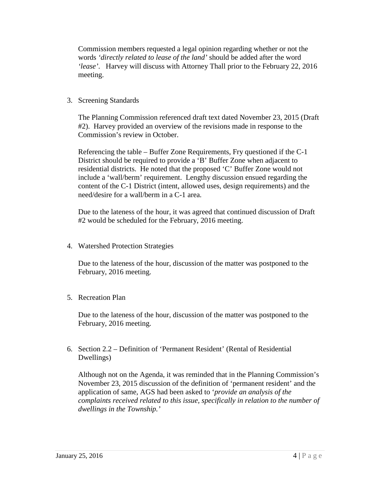Commission members requested a legal opinion regarding whether or not the words *'directly related to lease of the land'* should be added after the word *'lease'*. Harvey will discuss with Attorney Thall prior to the February 22, 2016 meeting.

3. Screening Standards

The Planning Commission referenced draft text dated November 23, 2015 (Draft #2). Harvey provided an overview of the revisions made in response to the Commission's review in October.

Referencing the table – Buffer Zone Requirements, Fry questioned if the C-1 District should be required to provide a 'B' Buffer Zone when adjacent to residential districts. He noted that the proposed 'C' Buffer Zone would not include a 'wall/berm' requirement. Lengthy discussion ensued regarding the content of the C-1 District (intent, allowed uses, design requirements) and the need/desire for a wall/berm in a C-1 area.

Due to the lateness of the hour, it was agreed that continued discussion of Draft #2 would be scheduled for the February, 2016 meeting.

4. Watershed Protection Strategies

Due to the lateness of the hour, discussion of the matter was postponed to the February, 2016 meeting.

5. Recreation Plan

Due to the lateness of the hour, discussion of the matter was postponed to the February, 2016 meeting.

6. Section 2.2 – Definition of 'Permanent Resident' (Rental of Residential Dwellings)

Although not on the Agenda, it was reminded that in the Planning Commission's November 23, 2015 discussion of the definition of 'permanent resident' and the application of same, AGS had been asked to '*provide an analysis of the complaints received related to this issue, specifically in relation to the number of dwellings in the Township.'*